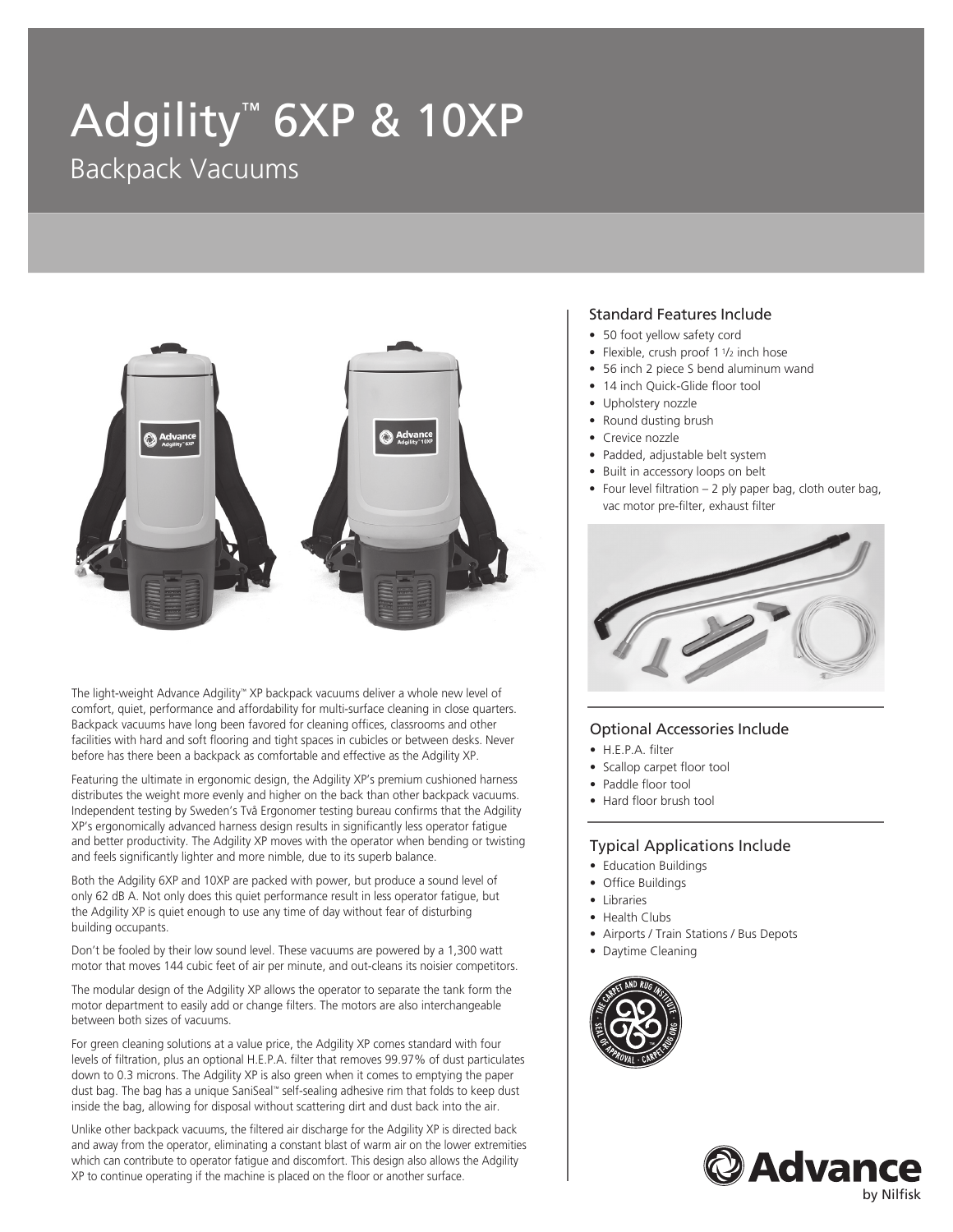# Adgility™ 6XP & 10XP Backpack Vacuums



The light-weight Advance Adgility™ XP backpack vacuums deliver a whole new level of comfort, quiet, performance and affordability for multi-surface cleaning in close quarters. Backpack vacuums have long been favored for cleaning offices, classrooms and other facilities with hard and soft flooring and tight spaces in cubicles or between desks. Never before has there been a backpack as comfortable and effective as the Adgility XP.

Featuring the ultimate in ergonomic design, the Adgility XP's premium cushioned harness distributes the weight more evenly and higher on the back than other backpack vacuums. Independent testing by Sweden's Två Ergonomer testing bureau confirms that the Adgility XP's ergonomically advanced harness design results in significantly less operator fatigue and better productivity. The Adgility XP moves with the operator when bending or twisting and feels significantly lighter and more nimble, due to its superb balance.

Both the Adgility 6XP and 10XP are packed with power, but produce a sound level of only 62 dB A. Not only does this quiet performance result in less operator fatigue, but the Adgility XP is quiet enough to use any time of day without fear of disturbing building occupants.

Don't be fooled by their low sound level. These vacuums are powered by a 1,300 watt motor that moves 144 cubic feet of air per minute, and out-cleans its noisier competitors.

The modular design of the Adgility XP allows the operator to separate the tank form the motor department to easily add or change filters. The motors are also interchangeable between both sizes of vacuums.

For green cleaning solutions at a value price, the Adgility XP comes standard with four levels of filtration, plus an optional H.E.P.A. filter that removes 99.97% of dust particulates down to 0.3 microns. The Adgility XP is also green when it comes to emptying the paper dust bag. The bag has a unique SaniSeal™ self-sealing adhesive rim that folds to keep dust inside the bag, allowing for disposal without scattering dirt and dust back into the air.

Unlike other backpack vacuums, the filtered air discharge for the Adgility XP is directed back and away from the operator, eliminating a constant blast of warm air on the lower extremities which can contribute to operator fatigue and discomfort. This design also allows the Adgility XP to continue operating if the machine is placed on the floor or another surface.

### Standard Features Include

- 50 foot yellow safety cord
- Flexible, crush proof 11/2 inch hose
- 56 inch 2 piece S bend aluminum wand
- 14 inch Quick-Glide floor tool
- Upholstery nozzle
- Round dusting brush
- Crevice nozzle
- Padded, adjustable belt system
- Built in accessory loops on belt
- Four level filtration 2 ply paper bag, cloth outer bag, vac motor pre-filter, exhaust filter



### Optional Accessories Include

- H.E.P.A. filter
- Scallop carpet floor tool
- Paddle floor tool
- Hard floor brush tool

### Typical Applications Include

- Education Buildings
- Office Buildings
- Libraries
- Health Clubs
- Airports / Train Stations / Bus Depots
- Daytime Cleaning